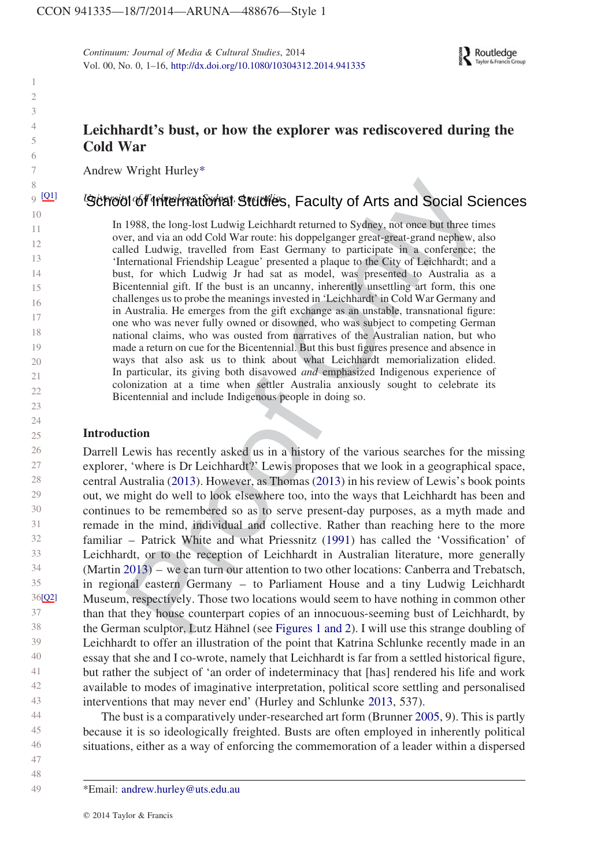Continuum: Journal of Media & Cultural Studies, 2014 Vol. 00, No. 0, 1–16, <http://dx.doi.org/10.1080/10304312.2014.941335>



# Leichhardt's bust, or how the explorer was rediscovered during the Cold War

Andrew Wright Hurley\*

#### **Genool of International Studies, Faculty of Arts and Social Sciences** 9 **[Q1]** 10

In 1988, the long-lost Ludwig Leichhardt returned to Sydney, not once but three times over, and via an odd Cold War route: his doppelganger great-great-grand nephew, also called Ludwig, travelled from East Germany to participate in a conference; the 'International Friendship League' presented a plaque to the City of Leichhardt; and a bust, for which Ludwig Jr had sat as model, was presented to Australia as a Bicentennial gift. If the bust is an uncanny, inherently unsettling art form, this one challenges us to probe the meanings invested in 'Leichhardt' in Cold War Germany and in Australia. He emerges from the gift exchange as an unstable, transnational figure: one who was never fully owned or disowned, who was subject to competing German national claims, who was ousted from narratives of the Australian nation, but who made a return on cue for the Bicentennial. But this bust figures presence and absence in ways that also ask us to think about what Leichhardt memorialization elided. In particular, its giving both disavowed *and* emphasized Indigenous experience of colonization at a time when settler Australia anxiously sought to celebrate its Bicentennial and include Indigenous people in doing so.

#### Introduction  $25$

Darrell Lewis has recently asked us in a history of the various searches for the missing explorer, 'where is Dr Leichhardt?' Lewis proposes that we look in a geographical space, central Australia ([2013\)](#page-15-0). However, as Thomas [\(2013](#page-15-0)) in his review of Lewis's book points out, we might do well to look elsewhere too, into the ways that Leichhardt has been and continues to be remembered so as to serve present-day purposes, as a myth made and remade in the mind, individual and collective. Rather than reaching here to the more familiar – Patrick White and what Priessnitz [\(1991](#page-15-0)) has called the 'Vossification' of Leichhardt, or to the reception of Leichhardt in Australian literature, more generally (Martin [2013](#page-15-0)) – we can turn our attention to two other locations: Canberra and Trebatsch, in regional eastern Germany – to Parliament House and a tiny Ludwig Leichhardt Museum, respectively. Those two locations would seem to have nothing in common other than that they house counterpart copies of an innocuous-seeming bust of Leichhardt, by the German sculptor, Lutz Hähnel (see [Figures 1 and 2\)](#page-1-0). I will use this strange doubling of Leichhardt to offer an illustration of the point that Katrina Schlunke recently made in an essay that she and I co-wrote, namely that Leichhardt is far from a settled historical figure, but rather the subject of 'an order of indeterminacy that [has] rendered his life and work available to modes of imaginative interpretation, political score settling and personalised interventions that may never end' (Hurley and Schlunke [2013,](#page-14-0) 537). 36<sup>[Q2]</sup> 26 27 28 29 30 31 32 33 34 35 37 38 39 40 41  $42$ 43

The bust is a comparatively under-researched art form (Brunner [2005,](#page-13-0) 9). This is partly because it is so ideologically freighted. Busts are often employed in inherently political situations, either as a way of enforcing the commemoration of a leader within a dispersed

47 48 49

44 45 46

\*Email: [andrew.hurley@uts.edu.au](mailto:Andrew.Hurley@uts.edu.au)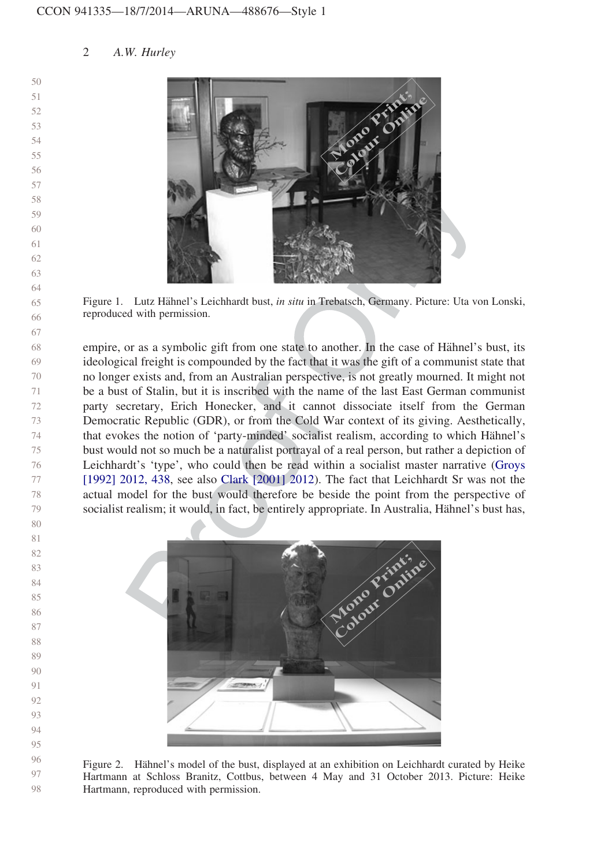<span id="page-1-0"></span>

Figure 1. Lutz Hähnel's Leichhardt bust, in situ in Trebatsch, Germany. Picture: Uta von Lonski, reproduced with permission.

empire, or as a symbolic gift from one state to another. In the case of Hähnel's bust, its ideological freight is compounded by the fact that it was the gift of a communist state that no longer exists and, from an Australian perspective, is not greatly mourned. It might not be a bust of Stalin, but it is inscribed with the name of the last East German communist party secretary, Erich Honecker, and it cannot dissociate itself from the German Democratic Republic (GDR), or from the Cold War context of its giving. Aesthetically, that evokes the notion of 'party-minded' socialist realism, according to which Hähnel's bust would not so much be a naturalist portrayal of a real person, but rather a depiction of Leichhardt's 'type', who could then be read within a socialist master narrative ([Groys](#page-14-0) [\[1992\] 2012, 438,](#page-14-0) see also [Clark \[2001\] 2012\)](#page-14-0). The fact that Leichhardt Sr was not the actual model for the bust would therefore be beside the point from the perspective of socialist realism; it would, in fact, be entirely appropriate. In Australia, Hähnel's bust has,



Figure 2. Hähnel's model of the bust, displayed at an exhibition on Leichhardt curated by Heike Hartmann at Schloss Branitz, Cottbus, between 4 May and 31 October 2013. Picture: Heike Hartmann, reproduced with permission.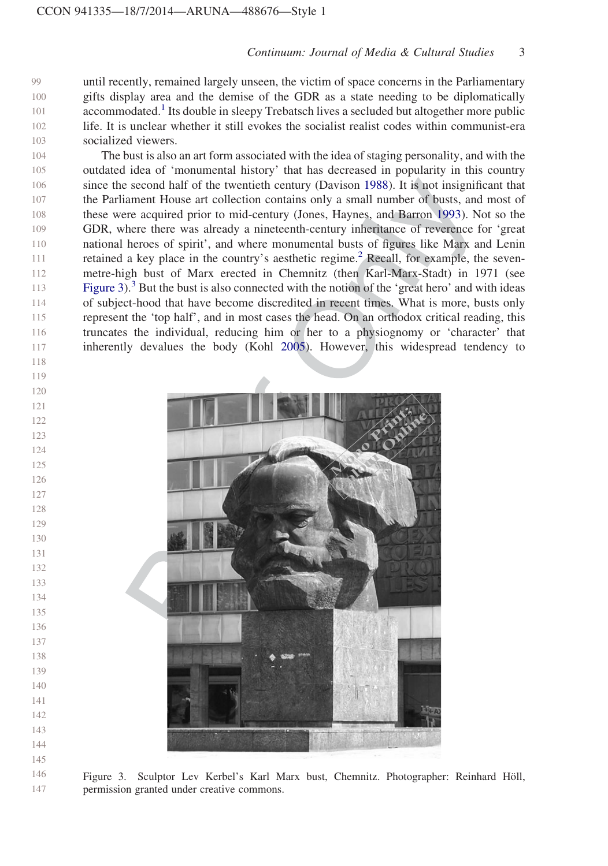until recently, remained largely unseen, the victim of space concerns in the Parliamentary gifts display area and the demise of the GDR as a state needing to be diplomatically  $a^2$  accommodated.<sup>[1](#page-12-0)</sup> Its double in sleepy Trebatsch lives a secluded but altogether more public life. It is unclear whether it still evokes the socialist realist codes within communist-era socialized viewers. 

The bust is also an art form associated with the idea of staging personality, and with the outdated idea of 'monumental history' that has decreased in popularity in this country since the second half of the twentieth century (Davison [1988\)](#page-14-0). It is not insignificant that the Parliament House art collection contains only a small number of busts, and most of these were acquired prior to mid-century (Jones, Haynes, and Barron [1993](#page-14-0)). Not so the GDR, where there was already a nineteenth-century inheritance of reverence for 'great national heroes of spirit', and where monumental busts of figures like Marx and Lenin retained a key place in the country's aesthetic regime.<sup>[2](#page-12-0)</sup> Recall, for example, the sevenmetre-high bust of Marx erected in Chemnitz (then Karl-Marx-Stadt) in 1971 (see Figure [3](#page-12-0)).<sup>3</sup> But the bust is also connected with the notion of the 'great hero' and with ideas of subject-hood that have become discredited in recent times. What is more, busts only represent the 'top half', and in most cases the head. On an orthodox critical reading, this truncates the individual, reducing him or her to a physiognomy or 'character' that inherently devalues the body (Kohl [2005\)](#page-15-0). However, this widespread tendency to 



Figure 3. Sculptor Lev Kerbel's Karl Marx bust, Chemnitz. Photographer: Reinhard Höll, permission granted under creative commons.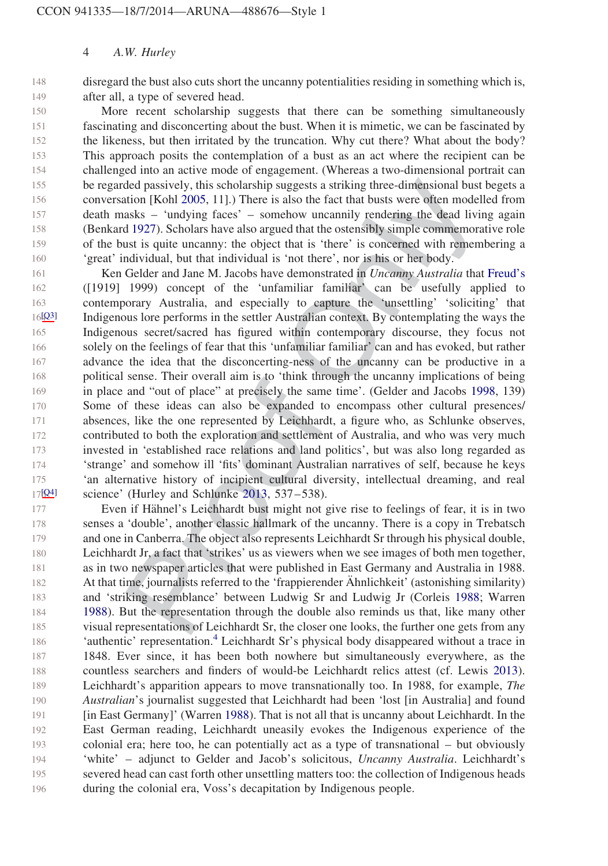disregard the bust also cuts short the uncanny potentialities residing in something which is, after all, a type of severed head. 148 149

More recent scholarship suggests that there can be something simultaneously fascinating and disconcerting about the bust. When it is mimetic, we can be fascinated by the likeness, but then irritated by the truncation. Why cut there? What about the body? This approach posits the contemplation of a bust as an act where the recipient can be challenged into an active mode of engagement. (Whereas a two-dimensional portrait can be regarded passively, this scholarship suggests a striking three-dimensional bust begets a conversation [Kohl [2005,](#page-15-0) 11].) There is also the fact that busts were often modelled from death masks – 'undying faces' – somehow uncannily rendering the dead living again (Benkard [1927\)](#page-13-0). Scholars have also argued that the ostensibly simple commemorative role of the bust is quite uncanny: the object that is 'there' is concerned with remembering a 'great' individual, but that individual is 'not there', nor is his or her body. 150 151 152 153 154 155 156 157 158 159 160

Ken Gelder and Jane M. Jacobs have demonstrated in *Uncanny Australia* that [Freud's](#page-14-0) ([1919] 1999) concept of the 'unfamiliar familiar' can be usefully applied to contemporary Australia, and especially to capture the 'unsettling' 'soliciting' that Indigenous lore performs in the settler Australian context. By contemplating the ways the Indigenous secret/sacred has figured within contemporary discourse, they focus not solely on the feelings of fear that this 'unfamiliar familiar' can and has evoked, but rather advance the idea that the disconcerting-ness of the uncanny can be productive in a political sense. Their overall aim is to 'think through the uncanny implications of being in place and "out of place" at precisely the same time'. (Gelder and Jacobs [1998,](#page-14-0) 139) Some of these ideas can also be expanded to encompass other cultural presences/ absences, like the one represented by Leichhardt, a figure who, as Schlunke observes, contributed to both the exploration and settlement of Australia, and who was very much invested in 'established race relations and land politics', but was also long regarded as 'strange' and somehow ill 'fits' dominant Australian narratives of self, because he keys 'an alternative history of incipient cultural diversity, intellectual dreaming, and real science' (Hurley and Schlunke [2013,](#page-14-0) 537–538).  $16[Q3]$  $17[Q4]$ 161 162 163 165 166 167 168 169 170 171 172 173 174 175

Even if Hähnel's Leichhardt bust might not give rise to feelings of fear, it is in two senses a 'double', another classic hallmark of the uncanny. There is a copy in Trebatsch and one in Canberra. The object also represents Leichhardt Sr through his physical double, Leichhardt Jr, a fact that 'strikes' us as viewers when we see images of both men together, as in two newspaper articles that were published in East Germany and Australia in 1988. At that time, journalists referred to the 'frappierender Ähnlichkeit' (astonishing similarity) and 'striking resemblance' between Ludwig Sr and Ludwig Jr (Corleis [1988;](#page-14-0) Warren [1988](#page-15-0)). But the representation through the double also reminds us that, like many other visual representations of Leichhardt Sr, the closer one looks, the further one gets from any 'authentic' representation.<sup>[4](#page-12-0)</sup> Leichhardt Sr's physical body disappeared without a trace in 1848. Ever since, it has been both nowhere but simultaneously everywhere, as the countless searchers and finders of would-be Leichhardt relics attest (cf. Lewis [2013](#page-15-0)). Leichhardt's apparition appears to move transnationally too. In 1988, for example, The Australian's journalist suggested that Leichhardt had been 'lost [in Australia] and found [in East Germany]' (Warren [1988](#page-15-0)). That is not all that is uncanny about Leichhardt. In the East German reading, Leichhardt uneasily evokes the Indigenous experience of the colonial era; here too, he can potentially act as a type of transnational – but obviously 'white' – adjunct to Gelder and Jacob's solicitous, Uncanny Australia. Leichhardt's severed head can cast forth other unsettling matters too: the collection of Indigenous heads during the colonial era, Voss's decapitation by Indigenous people. 177 178 179 180 181 182 183 184 185 186 187 188 189 190 191 192 193 194 195 196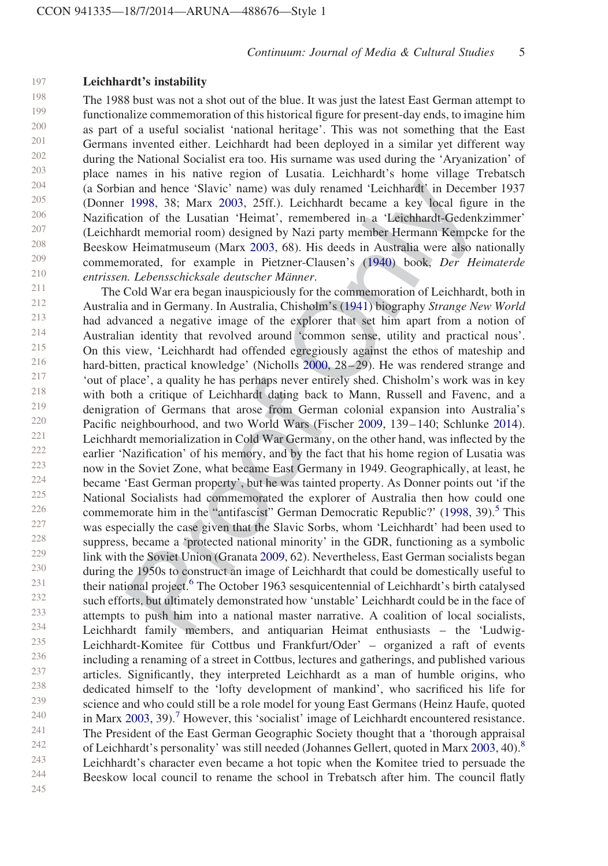#### Leichhardt's instability 197

The 1988 bust was not a shot out of the blue. It was just the latest East German attempt to functionalize commemoration of this historical figure for present-day ends, to imagine him as part of a useful socialist 'national heritage'. This was not something that the East Germans invented either. Leichhardt had been deployed in a similar yet different way during the National Socialist era too. His surname was used during the 'Aryanization' of place names in his native region of Lusatia. Leichhardt's home village Trebatsch (a Sorbian and hence 'Slavic' name) was duly renamed 'Leichhardt' in December 1937 (Donner [1998,](#page-14-0) 38; Marx [2003](#page-15-0), 25ff.). Leichhardt became a key local figure in the Nazification of the Lusatian 'Heimat', remembered in a 'Leichhardt-Gedenkzimmer' (Leichhardt memorial room) designed by Nazi party member Hermann Kempcke for the Beeskow Heimatmuseum (Marx [2003,](#page-15-0) 68). His deeds in Australia were also nationally commemorated, for example in Pietzner-Clausen's ([1940\)](#page-15-0) book, Der Heimaterde entrissen. Lebensschicksale deutscher Männer. 198 199 200 201 202 203 204 205 206 207 208 209 210

The Cold War era began inauspiciously for the commemoration of Leichhardt, both in Australia and in Germany. In Australia, Chisholm's [\(1941\)](#page-14-0) biography Strange New World had advanced a negative image of the explorer that set him apart from a notion of Australian identity that revolved around 'common sense, utility and practical nous'. On this view, 'Leichhardt had offended egregiously against the ethos of mateship and hard-bitten, practical knowledge' (Nicholls [2000,](#page-15-0) 28–29). He was rendered strange and 'out of place', a quality he has perhaps never entirely shed. Chisholm's work was in key with both a critique of Leichhardt dating back to Mann, Russell and Favenc, and a denigration of Germans that arose from German colonial expansion into Australia's Pacific neighbourhood, and two World Wars (Fischer [2009](#page-14-0), 139–140; Schlunke [2014](#page-15-0)). Leichhardt memorialization in Cold War Germany, on the other hand, was inflected by the earlier 'Nazification' of his memory, and by the fact that his home region of Lusatia was now in the Soviet Zone, what became East Germany in 1949. Geographically, at least, he became 'East German property', but he was tainted property. As Donner points out 'if the National Socialists had commemorated the explorer of Australia then how could one commemorate him in the "antifascist" German Democratic Republic?' [\(1998](#page-14-0), 39).<sup>[5](#page-12-0)</sup> This was especially the case given that the Slavic Sorbs, whom 'Leichhardt' had been used to suppress, became a 'protected national minority' in the GDR, functioning as a symbolic link with the Soviet Union (Granata [2009,](#page-14-0) 62). Nevertheless, East German socialists began during the 1950s to construct an image of Leichhardt that could be domestically useful to their national project.<sup>[6](#page-12-0)</sup> The October 1963 sesquicentennial of Leichhardt's birth catalysed such efforts, but ultimately demonstrated how 'unstable' Leichhardt could be in the face of attempts to push him into a national master narrative. A coalition of local socialists, Leichhardt family members, and antiquarian Heimat enthusiasts – the 'Ludwig-Leichhardt-Komitee für Cottbus und Frankfurt/Oder' – organized a raft of events including a renaming of a street in Cottbus, lectures and gatherings, and published various articles. Significantly, they interpreted Leichhardt as a man of humble origins, who dedicated himself to the 'lofty development of mankind', who sacrificed his life for science and who could still be a role model for young East Germans (Heinz Haufe, quoted in Marx [2003,](#page-15-0) 39).<sup>[7](#page-12-0)</sup> However, this 'socialist' image of Leichhardt encountered resistance. The President of the East German Geographic Society thought that a 'thorough appraisal of Leichhardt's personality' was still needed (Johannes Gellert, quoted in Marx [2003,](#page-15-0) 40)[.8](#page-12-0) Leichhardt's character even became a hot topic when the Komitee tried to persuade the Beeskow local council to rename the school in Trebatsch after him. The council flatly 211 212 213 214 215 216 217 218 219 220 221 222 223 224 225 226 227 228 229 230 231 232 233 234 235 236 237 238 239 240 241 242 243 244 245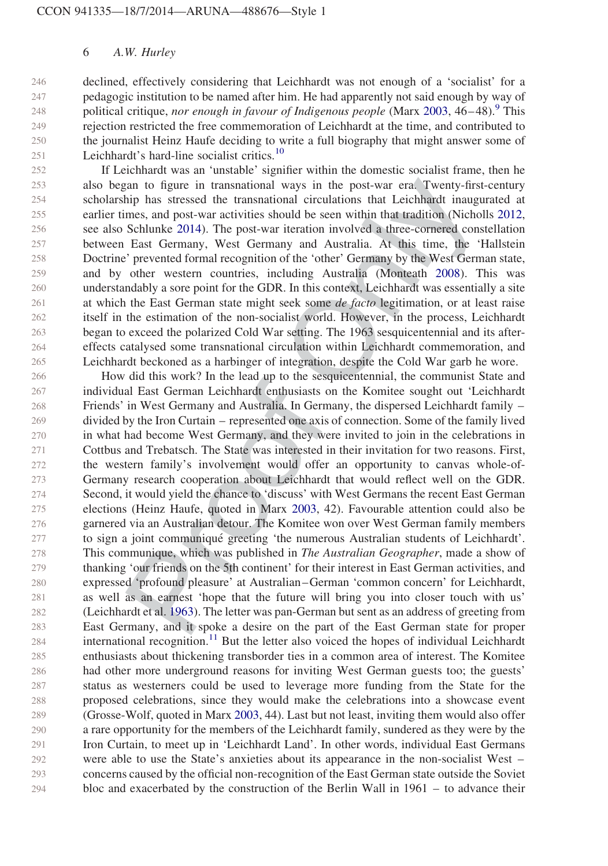declined, effectively considering that Leichhardt was not enough of a 'socialist' for a pedagogic institution to be named after him. He had apparently not said enough by way of political critique, nor enough in favour of Indigenous people (Marx [2003](#page-15-0),  $46-48$ ).<sup>[9](#page-12-0)</sup> This rejection restricted the free commemoration of Leichhardt at the time, and contributed to the journalist Heinz Haufe deciding to write a full biography that might answer some of Leichhardt's hard-line socialist critics.<sup>[10](#page-12-0)</sup> 246 247  $248$ 249 250 251

If Leichhardt was an 'unstable' signifier within the domestic socialist frame, then he also began to figure in transnational ways in the post-war era. Twenty-first-century scholarship has stressed the transnational circulations that Leichhardt inaugurated at earlier times, and post-war activities should be seen within that tradition (Nicholls [2012](#page-15-0), see also Schlunke [2014](#page-15-0)). The post-war iteration involved a three-cornered constellation between East Germany, West Germany and Australia. At this time, the 'Hallstein Doctrine' prevented formal recognition of the 'other' Germany by the West German state, and by other western countries, including Australia (Monteath [2008](#page-15-0)). This was understandably a sore point for the GDR. In this context, Leichhardt was essentially a site at which the East German state might seek some de facto legitimation, or at least raise itself in the estimation of the non-socialist world. However, in the process, Leichhardt began to exceed the polarized Cold War setting. The 1963 sesquicentennial and its aftereffects catalysed some transnational circulation within Leichhardt commemoration, and Leichhardt beckoned as a harbinger of integration, despite the Cold War garb he wore. 252 253 254 255 256 257 258 259 260 261 262 263 264 265

How did this work? In the lead up to the sesquicentennial, the communist State and individual East German Leichhardt enthusiasts on the Komitee sought out 'Leichhardt Friends' in West Germany and Australia. In Germany, the dispersed Leichhardt family – divided by the Iron Curtain – represented one axis of connection. Some of the family lived in what had become West Germany, and they were invited to join in the celebrations in Cottbus and Trebatsch. The State was interested in their invitation for two reasons. First, the western family's involvement would offer an opportunity to canvas whole-of-Germany research cooperation about Leichhardt that would reflect well on the GDR. Second, it would yield the chance to 'discuss' with West Germans the recent East German elections (Heinz Haufe, quoted in Marx [2003,](#page-15-0) 42). Favourable attention could also be garnered via an Australian detour. The Komitee won over West German family members to sign a joint communique´ greeting 'the numerous Australian students of Leichhardt'. This communique, which was published in *The Australian Geographer*, made a show of thanking 'our friends on the 5th continent' for their interest in East German activities, and expressed 'profound pleasure' at Australian –German 'common concern' for Leichhardt, as well as an earnest 'hope that the future will bring you into closer touch with us' (Leichhardt et al. [1963](#page-15-0)). The letter was pan-German but sent as an address of greeting from East Germany, and it spoke a desire on the part of the East German state for proper international recognition.<sup>[11](#page-12-0)</sup> But the letter also voiced the hopes of individual Leichhardt enthusiasts about thickening transborder ties in a common area of interest. The Komitee had other more underground reasons for inviting West German guests too; the guests' status as westerners could be used to leverage more funding from the State for the proposed celebrations, since they would make the celebrations into a showcase event (Grosse-Wolf, quoted in Marx [2003](#page-15-0), 44). Last but not least, inviting them would also offer a rare opportunity for the members of the Leichhardt family, sundered as they were by the Iron Curtain, to meet up in 'Leichhardt Land'. In other words, individual East Germans were able to use the State's anxieties about its appearance in the non-socialist West – concerns caused by the official non-recognition of the East German state outside the Soviet bloc and exacerbated by the construction of the Berlin Wall in 1961 – to advance their 266 267 268 269 270 271 272 273 274 275 276 277 278 279 280 281 282 283 284 285 286 287 288 289 290 291 292 293 294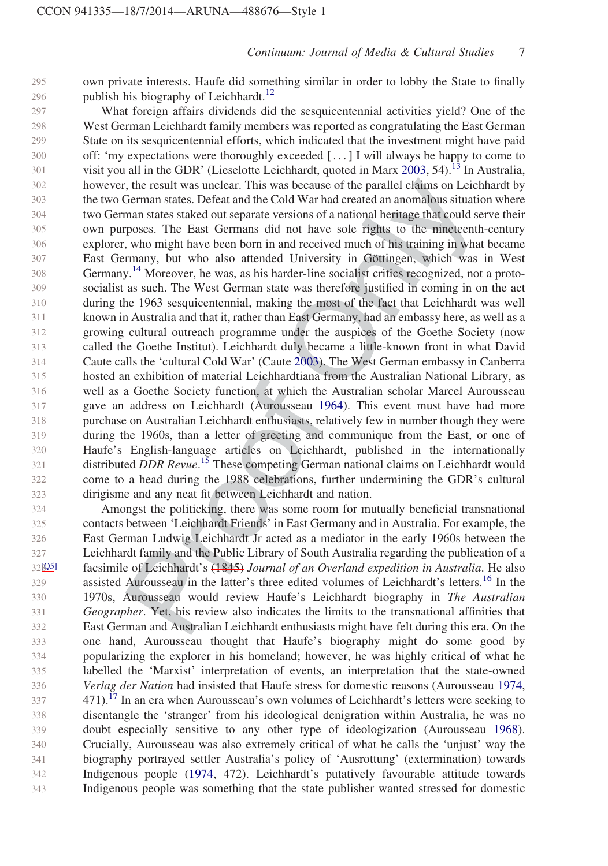own private interests. Haufe did something similar in order to lobby the State to finally publish his biography of Leichhardt.<sup>[12](#page-12-0)</sup> 295 296

What foreign affairs dividends did the sesquicentennial activities yield? One of the West German Leichhardt family members was reported as congratulating the East German State on its sesquicentennial efforts, which indicated that the investment might have paid off: 'my expectations were thoroughly exceeded [ ...] I will always be happy to come to visit you all in the GDR' (Lieselotte Leichhardt, quoted in Marx [2003,](#page-15-0)  $54$ ),  $^{13}$  $^{13}$  $^{13}$  In Australia, however, the result was unclear. This was because of the parallel claims on Leichhardt by the two German states. Defeat and the Cold War had created an anomalous situation where two German states staked out separate versions of a national heritage that could serve their own purposes. The East Germans did not have sole rights to the nineteenth-century explorer, who might have been born in and received much of his training in what became East Germany, but who also attended University in Göttingen, which was in West Germany.<sup>[14](#page-12-0)</sup> Moreover, he was, as his harder-line socialist critics recognized, not a protosocialist as such. The West German state was therefore justified in coming in on the act during the 1963 sesquicentennial, making the most of the fact that Leichhardt was well known in Australia and that it, rather than East Germany, had an embassy here, as well as a growing cultural outreach programme under the auspices of the Goethe Society (now called the Goethe Institut). Leichhardt duly became a little-known front in what David Caute calls the 'cultural Cold War' (Caute [2003\)](#page-14-0). The West German embassy in Canberra hosted an exhibition of material Leichhardtiana from the Australian National Library, as well as a Goethe Society function, at which the Australian scholar Marcel Aurousseau gave an address on Leichhardt (Aurousseau [1964](#page-13-0)). This event must have had more purchase on Australian Leichhardt enthusiasts, relatively few in number though they were during the 1960s, than a letter of greeting and communique from the East, or one of Haufe's English-language articles on Leichhardt, published in the internationally distributed DDR Revue.<sup>[15](#page-12-0)</sup> These competing German national claims on Leichhardt would come to a head during the 1988 celebrations, further undermining the GDR's cultural dirigisme and any neat fit between Leichhardt and nation. 297 298 299 300 301 302 303 304 305 306 307 308 309 310 311 312 313 314 315 316 317 318 319 320 321 322 323

Amongst the politicking, there was some room for mutually beneficial transnational contacts between 'Leichhardt Friends' in East Germany and in Australia. For example, the East German Ludwig Leichhardt Jr acted as a mediator in the early 1960s between the Leichhardt family and the Public Library of South Australia regarding the publication of a facsimile of Leichhardt's (1845) Journal of an Overland expedition in Australia. He also assisted Aurousseau in the latter's three edited volumes of Leichhardt's letters.<sup>[16](#page-12-0)</sup> In the 1970s, Aurousseau would review Haufe's Leichhardt biography in The Australian Geographer. Yet, his review also indicates the limits to the transnational affinities that East German and Australian Leichhardt enthusiasts might have felt during this era. On the one hand, Aurousseau thought that Haufe's biography might do some good by popularizing the explorer in his homeland; however, he was highly critical of what he labelled the 'Marxist' interpretation of events, an interpretation that the state-owned Verlag der Nation had insisted that Haufe stress for domestic reasons (Aurousseau [1974](#page-13-0), 471).<sup>[17](#page-12-0)</sup> In an era when Aurousseau's own volumes of Leichhardt's letters were seeking to disentangle the 'stranger' from his ideological denigration within Australia, he was no doubt especially sensitive to any other type of ideologization (Aurousseau [1968](#page-13-0)). Crucially, Aurousseau was also extremely critical of what he calls the 'unjust' way the biography portrayed settler Australia's policy of 'Ausrottung' (extermination) towards Indigenous people [\(1974](#page-13-0), 472). Leichhardt's putatively favourable attitude towards Indigenous people was something that the state publisher wanted stressed for domestic 32**[Q5]** 324 325 326 327 329 330 331 332 333 334 335 336 337 338 339 340 341 342 343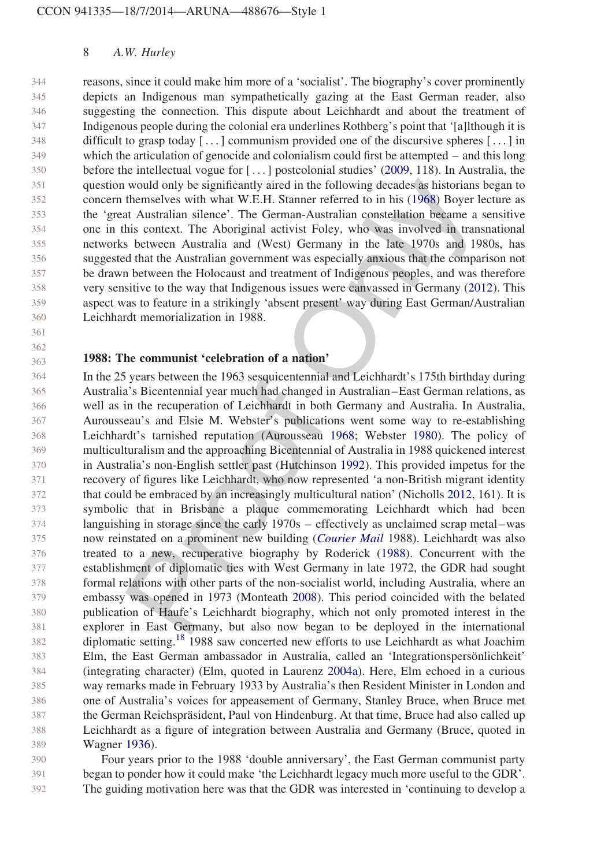361 362 363

reasons, since it could make him more of a 'socialist'. The biography's cover prominently depicts an Indigenous man sympathetically gazing at the East German reader, also suggesting the connection. This dispute about Leichhardt and about the treatment of Indigenous people during the colonial era underlines Rothberg's point that '[a]lthough it is difficult to grasp today  $[\,\dots]$  communism provided one of the discursive spheres  $[\,\dots]$  in which the articulation of genocide and colonialism could first be attempted – and this long before the intellectual vogue for [ ...] postcolonial studies' ([2009,](#page-15-0) 118). In Australia, the question would only be significantly aired in the following decades as historians began to concern themselves with what W.E.H. Stanner referred to in his ([1968\)](#page-15-0) Boyer lecture as the 'great Australian silence'. The German-Australian constellation became a sensitive one in this context. The Aboriginal activist Foley, who was involved in transnational networks between Australia and (West) Germany in the late 1970s and 1980s, has suggested that the Australian government was especially anxious that the comparison not be drawn between the Holocaust and treatment of Indigenous peoples, and was therefore very sensitive to the way that Indigenous issues were canvassed in Germany ([2012\)](#page-14-0). This aspect was to feature in a strikingly 'absent present' way during East German/Australian Leichhardt memorialization in 1988. 344 345 346 347 348 349 350 351 352 353 354 355 356 357 358 359 360

#### 1988: The communist 'celebration of a nation'

In the 25 years between the 1963 sesquicentennial and Leichhardt's 175th birthday during Australia's Bicentennial year much had changed in Australian –East German relations, as well as in the recuperation of Leichhardt in both Germany and Australia. In Australia, Aurousseau's and Elsie M. Webster's publications went some way to re-establishing Leichhardt's tarnished reputation (Aurousseau [1968;](#page-13-0) Webster [1980\)](#page-15-0). The policy of multiculturalism and the approaching Bicentennial of Australia in 1988 quickened interest in Australia's non-English settler past (Hutchinson [1992\)](#page-14-0). This provided impetus for the recovery of figures like Leichhardt, who now represented 'a non-British migrant identity that could be embraced by an increasingly multicultural nation' (Nicholls [2012,](#page-15-0) 161). It is symbolic that in Brisbane a plaque commemorating Leichhardt which had been languishing in storage since the early 1970s – effectively as unclaimed scrap metal –was now reinstated on a prominent new building ([Courier Mail](#page-14-0) 1988). Leichhardt was also treated to a new, recuperative biography by Roderick [\(1988\)](#page-15-0). Concurrent with the establishment of diplomatic ties with West Germany in late 1972, the GDR had sought formal relations with other parts of the non-socialist world, including Australia, where an embassy was opened in 1973 (Monteath [2008](#page-15-0)). This period coincided with the belated publication of Haufe's Leichhardt biography, which not only promoted interest in the explorer in East Germany, but also now began to be deployed in the international diplomatic setting.<sup>[18](#page-12-0)</sup> 1988 saw concerted new efforts to use Leichhardt as what Joachim Elm, the East German ambassador in Australia, called an 'Integrationspersönlichkeit' (integrating character) (Elm, quoted in Laurenz [2004a](#page-15-0)). Here, Elm echoed in a curious way remarks made in February 1933 by Australia's then Resident Minister in London and one of Australia's voices for appeasement of Germany, Stanley Bruce, when Bruce met the German Reichspräsident, Paul von Hindenburg. At that time, Bruce had also called up Leichhardt as a figure of integration between Australia and Germany (Bruce, quoted in Wagner [1936\)](#page-15-0). 364 365 366 367 368 369 370 371 372 373 374 375 376 377 378 379 380 381 382 383 384 385 386 387 388 389

Four years prior to the 1988 'double anniversary', the East German communist party began to ponder how it could make 'the Leichhardt legacy much more useful to the GDR'. The guiding motivation here was that the GDR was interested in 'continuing to develop a 390 391 392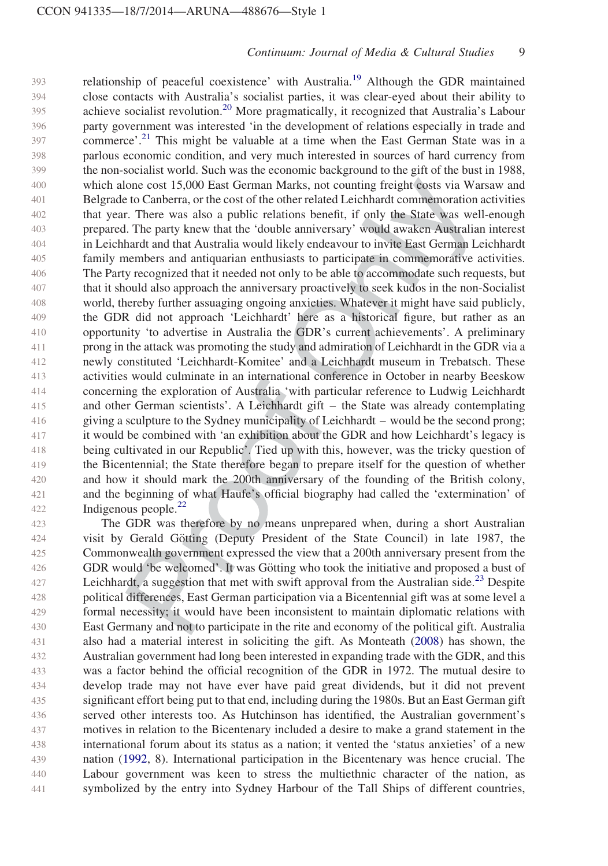# Continuum: Journal of Media & Cultural Studies 9

relationship of peaceful coexistence' with Australia.<sup>[19](#page-12-0)</sup> Although the GDR maintained close contacts with Australia's socialist parties, it was clear-eyed about their ability to achieve socialist revolution.<sup>[20](#page-13-0)</sup> More pragmatically, it recognized that Australia's Labour party government was interested 'in the development of relations especially in trade and commerce'.<sup>[21](#page-13-0)</sup> This might be valuable at a time when the East German State was in a parlous economic condition, and very much interested in sources of hard currency from the non-socialist world. Such was the economic background to the gift of the bust in 1988, which alone cost 15,000 East German Marks, not counting freight costs via Warsaw and Belgrade to Canberra, or the cost of the other related Leichhardt commemoration activities that year. There was also a public relations benefit, if only the State was well-enough prepared. The party knew that the 'double anniversary' would awaken Australian interest in Leichhardt and that Australia would likely endeavour to invite East German Leichhardt family members and antiquarian enthusiasts to participate in commemorative activities. The Party recognized that it needed not only to be able to accommodate such requests, but that it should also approach the anniversary proactively to seek kudos in the non-Socialist world, thereby further assuaging ongoing anxieties. Whatever it might have said publicly, the GDR did not approach 'Leichhardt' here as a historical figure, but rather as an opportunity 'to advertise in Australia the GDR's current achievements'. A preliminary prong in the attack was promoting the study and admiration of Leichhardt in the GDR via a newly constituted 'Leichhardt-Komitee' and a Leichhardt museum in Trebatsch. These activities would culminate in an international conference in October in nearby Beeskow concerning the exploration of Australia 'with particular reference to Ludwig Leichhardt and other German scientists'. A Leichhardt gift – the State was already contemplating giving a sculpture to the Sydney municipality of Leichhardt – would be the second prong; it would be combined with 'an exhibition about the GDR and how Leichhardt's legacy is being cultivated in our Republic<sup>'</sup>. Tied up with this, however, was the tricky question of the Bicentennial; the State therefore began to prepare itself for the question of whether and how it should mark the 200th anniversary of the founding of the British colony, and the beginning of what Haufe's official biography had called the 'extermination' of Indigenous people. $^{22}$  $^{22}$  $^{22}$ 393 394 395 396 397 398 399 400 401 402 403 404 405 406 407 408 409 410 411 412 413 414 415 416 417 418 419 420 421 422

The GDR was therefore by no means unprepared when, during a short Australian visit by Gerald Götting (Deputy President of the State Council) in late 1987, the Commonwealth government expressed the view that a 200th anniversary present from the GDR would 'be welcomed'. It was Götting who took the initiative and proposed a bust of Leichhardt, a suggestion that met with swift approval from the Australian side.<sup>[23](#page-13-0)</sup> Despite political differences, East German participation via a Bicentennial gift was at some level a formal necessity; it would have been inconsistent to maintain diplomatic relations with East Germany and not to participate in the rite and economy of the political gift. Australia also had a material interest in soliciting the gift. As Monteath [\(2008](#page-15-0)) has shown, the Australian government had long been interested in expanding trade with the GDR, and this was a factor behind the official recognition of the GDR in 1972. The mutual desire to develop trade may not have ever have paid great dividends, but it did not prevent significant effort being put to that end, including during the 1980s. But an East German gift served other interests too. As Hutchinson has identified, the Australian government's motives in relation to the Bicentenary included a desire to make a grand statement in the international forum about its status as a nation; it vented the 'status anxieties' of a new nation [\(1992](#page-14-0), 8). International participation in the Bicentenary was hence crucial. The Labour government was keen to stress the multiethnic character of the nation, as symbolized by the entry into Sydney Harbour of the Tall Ships of different countries, 423 424 425 426 427 428 429 430 431 432 433 434 435 436 437 438 439 440 441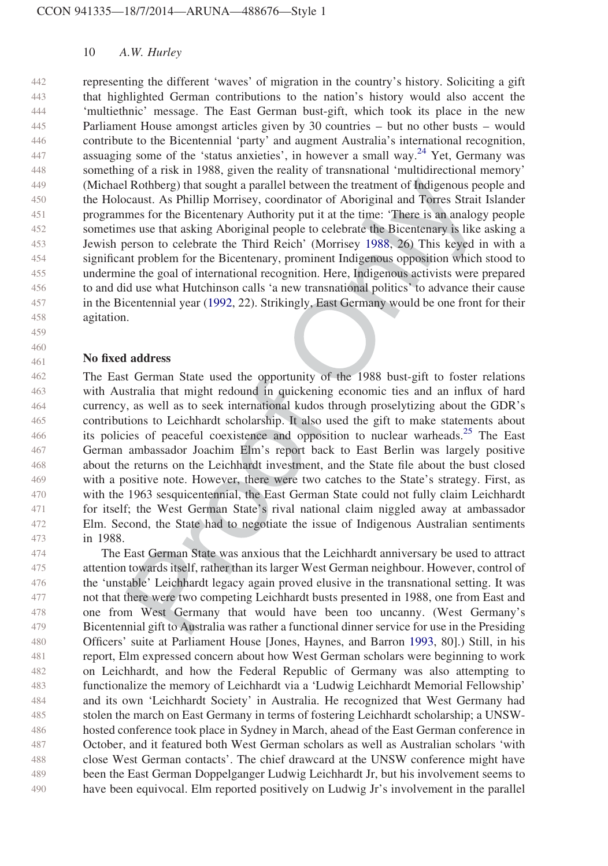representing the different 'waves' of migration in the country's history. Soliciting a gift that highlighted German contributions to the nation's history would also accent the 'multiethnic' message. The East German bust-gift, which took its place in the new Parliament House amongst articles given by 30 countries – but no other busts – would contribute to the Bicentennial 'party' and augment Australia's international recognition, assuaging some of the 'status anxieties', in however a small way.[24](#page-13-0) Yet, Germany was something of a risk in 1988, given the reality of transnational 'multidirectional memory' (Michael Rothberg) that sought a parallel between the treatment of Indigenous people and the Holocaust. As Phillip Morrisey, coordinator of Aboriginal and Torres Strait Islander programmes for the Bicentenary Authority put it at the time: 'There is an analogy people sometimes use that asking Aboriginal people to celebrate the Bicentenary is like asking a Jewish person to celebrate the Third Reich' (Morrisey [1988](#page-15-0), 26) This keyed in with a significant problem for the Bicentenary, prominent Indigenous opposition which stood to undermine the goal of international recognition. Here, Indigenous activists were prepared to and did use what Hutchinson calls 'a new transnational politics' to advance their cause in the Bicentennial year [\(1992](#page-14-0), 22). Strikingly, East Germany would be one front for their agitation. 442 443 444 445 446 447 448 449 450 451  $452$ 453 454 455 456 457 458

# No fixed address

459 460 461

The East German State used the opportunity of the 1988 bust-gift to foster relations with Australia that might redound in quickening economic ties and an influx of hard currency, as well as to seek international kudos through proselytizing about the GDR's contributions to Leichhardt scholarship. It also used the gift to make statements about its policies of peaceful coexistence and opposition to nuclear warheads.<sup>[25](#page-13-0)</sup> The East German ambassador Joachim Elm's report back to East Berlin was largely positive about the returns on the Leichhardt investment, and the State file about the bust closed with a positive note. However, there were two catches to the State's strategy. First, as with the 1963 sesquicentennial, the East German State could not fully claim Leichhardt for itself; the West German State's rival national claim niggled away at ambassador Elm. Second, the State had to negotiate the issue of Indigenous Australian sentiments in 1988. 462 463 464 465 466 467 468 469 470 471 472 473

The East German State was anxious that the Leichhardt anniversary be used to attract attention towards itself, rather than its larger West German neighbour. However, control of the 'unstable' Leichhardt legacy again proved elusive in the transnational setting. It was not that there were two competing Leichhardt busts presented in 1988, one from East and one from West Germany that would have been too uncanny. (West Germany's Bicentennial gift to Australia was rather a functional dinner service for use in the Presiding Officers' suite at Parliament House [Jones, Haynes, and Barron [1993,](#page-14-0) 80].) Still, in his report, Elm expressed concern about how West German scholars were beginning to work on Leichhardt, and how the Federal Republic of Germany was also attempting to functionalize the memory of Leichhardt via a 'Ludwig Leichhardt Memorial Fellowship' and its own 'Leichhardt Society' in Australia. He recognized that West Germany had stolen the march on East Germany in terms of fostering Leichhardt scholarship; a UNSWhosted conference took place in Sydney in March, ahead of the East German conference in October, and it featured both West German scholars as well as Australian scholars 'with close West German contacts'. The chief drawcard at the UNSW conference might have been the East German Doppelganger Ludwig Leichhardt Jr, but his involvement seems to have been equivocal. Elm reported positively on Ludwig Jr's involvement in the parallel 474 475 476 477 478 479 480 481 482 483 484 485 486 487 488 489 490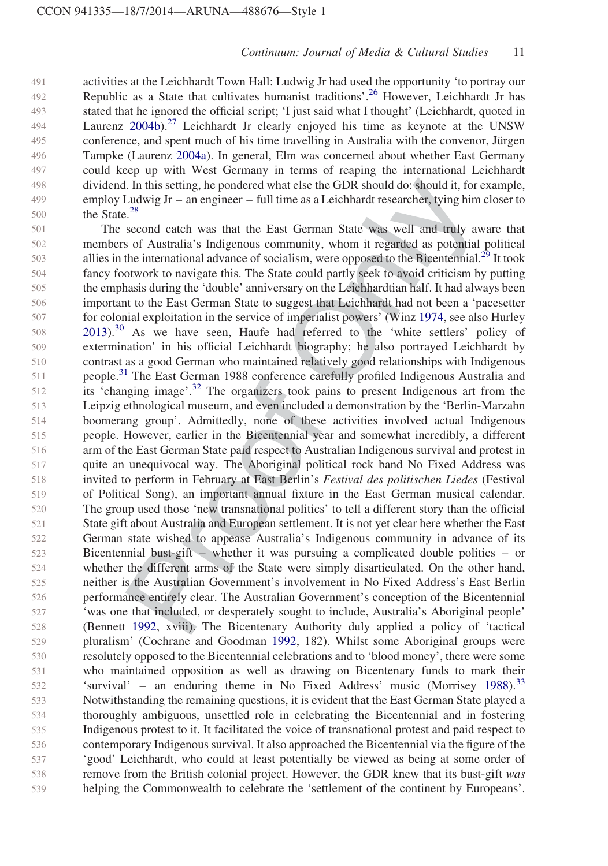activities at the Leichhardt Town Hall: Ludwig Jr had used the opportunity 'to portray our Republic as a State that cultivates humanist traditions'.<sup>[26](#page-13-0)</sup> However, Leichhardt Jr has stated that he ignored the official script; 'I just said what I thought' (Leichhardt, quoted in Laurenz  $2004b$ ).<sup>[27](#page-13-0)</sup> Leichhardt Jr clearly enjoyed his time as keynote at the UNSW conference, and spent much of his time travelling in Australia with the convenor, Jürgen Tampke (Laurenz [2004a](#page-15-0)). In general, Elm was concerned about whether East Germany could keep up with West Germany in terms of reaping the international Leichhardt dividend. In this setting, he pondered what else the GDR should do: should it, for example, employ Ludwig Jr – an engineer – full time as a Leichhardt researcher, tying him closer to the State.<sup>[28](#page-13-0)</sup> 491 492 493 494 495 496 497 498 499 500

The second catch was that the East German State was well and truly aware that members of Australia's Indigenous community, whom it regarded as potential political allies in the international advance of socialism, were opposed to the Bicentennial.<sup>[29](#page-13-0)</sup> It took fancy footwork to navigate this. The State could partly seek to avoid criticism by putting the emphasis during the 'double' anniversary on the Leichhardtian half. It had always been important to the East German State to suggest that Leichhardt had not been a 'pacesetter for colonial exploitation in the service of imperialist powers' (Winz [1974,](#page-15-0) see also Hurley [2013](#page-14-0)).<sup>[30](#page-13-0)</sup> As we have seen, Haufe had referred to the 'white settlers' policy of extermination' in his official Leichhardt biography; he also portrayed Leichhardt by contrast as a good German who maintained relatively good relationships with Indigenous people.[31](#page-13-0) The East German 1988 conference carefully profiled Indigenous Australia and its 'changing image'.[32](#page-13-0) The organizers took pains to present Indigenous art from the Leipzig ethnological museum, and even included a demonstration by the 'Berlin-Marzahn boomerang group'. Admittedly, none of these activities involved actual Indigenous people. However, earlier in the Bicentennial year and somewhat incredibly, a different arm of the East German State paid respect to Australian Indigenous survival and protest in quite an unequivocal way. The Aboriginal political rock band No Fixed Address was invited to perform in February at East Berlin's Festival des politischen Liedes (Festival of Political Song), an important annual fixture in the East German musical calendar. The group used those 'new transnational politics' to tell a different story than the official State gift about Australia and European settlement. It is not yet clear here whether the East German state wished to appease Australia's Indigenous community in advance of its Bicentennial bust-gift – whether it was pursuing a complicated double politics – or whether the different arms of the State were simply disarticulated. On the other hand, neither is the Australian Government's involvement in No Fixed Address's East Berlin performance entirely clear. The Australian Government's conception of the Bicentennial 'was one that included, or desperately sought to include, Australia's Aboriginal people' (Bennett [1992,](#page-13-0) xviii). The Bicentenary Authority duly applied a policy of 'tactical pluralism' (Cochrane and Goodman [1992](#page-14-0), 182). Whilst some Aboriginal groups were resolutely opposed to the Bicentennial celebrations and to 'blood money', there were some who maintained opposition as well as drawing on Bicentenary funds to mark their 'survival' – an enduring theme in No Fixed Address' music (Morrisey [1988\)](#page-15-0).<sup>[33](#page-13-0)</sup> Notwithstanding the remaining questions, it is evident that the East German State played a thoroughly ambiguous, unsettled role in celebrating the Bicentennial and in fostering Indigenous protest to it. It facilitated the voice of transnational protest and paid respect to contemporary Indigenous survival. It also approached the Bicentennial via the figure of the 'good' Leichhardt, who could at least potentially be viewed as being at some order of remove from the British colonial project. However, the GDR knew that its bust-gift was helping the Commonwealth to celebrate the 'settlement of the continent by Europeans'. 501 502 503 504 505 506 507 508 509 510 511 512 513 514 515 516 517 518 519 520 521 522 523 524 525 526 527 528 529 530 531 532 533 534 535 536 537 538 539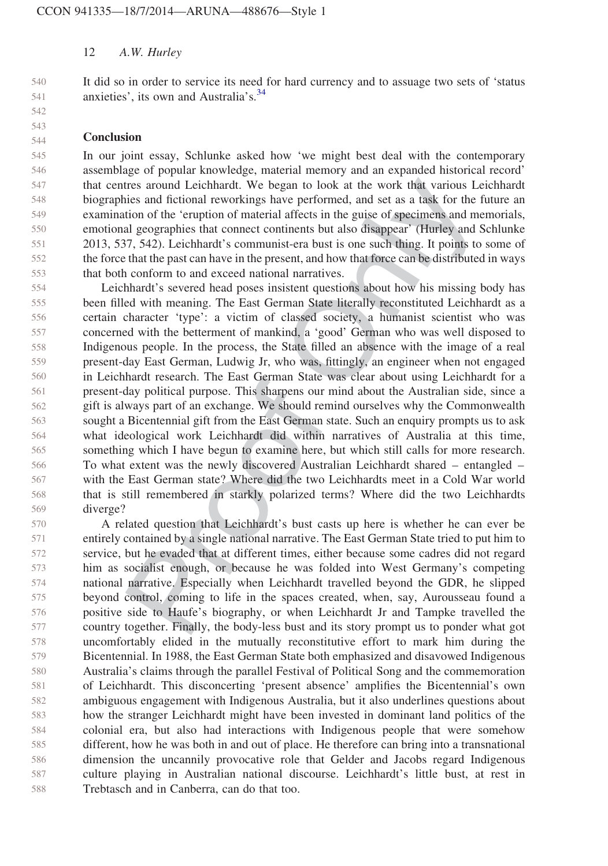It did so in order to service its need for hard currency and to assuage two sets of 'status anxieties', its own and Australia's.<sup>[34](#page-13-0)</sup> 540 541

543

542

544

#### Conclusion

In our joint essay, Schlunke asked how 'we might best deal with the contemporary assemblage of popular knowledge, material memory and an expanded historical record' that centres around Leichhardt. We began to look at the work that various Leichhardt biographies and fictional reworkings have performed, and set as a task for the future an examination of the 'eruption of material affects in the guise of specimens and memorials, emotional geographies that connect continents but also disappear' (Hurley and Schlunke 2013, 537, 542). Leichhardt's communist-era bust is one such thing. It points to some of the force that the past can have in the present, and how that force can be distributed in ways that both conform to and exceed national narratives. 545 546 547 548 549 550 551 552 553

Leichhardt's severed head poses insistent questions about how his missing body has been filled with meaning. The East German State literally reconstituted Leichhardt as a certain character 'type': a victim of classed society, a humanist scientist who was concerned with the betterment of mankind, a 'good' German who was well disposed to Indigenous people. In the process, the State filled an absence with the image of a real present-day East German, Ludwig Jr, who was, fittingly, an engineer when not engaged in Leichhardt research. The East German State was clear about using Leichhardt for a present-day political purpose. This sharpens our mind about the Australian side, since a gift is always part of an exchange. We should remind ourselves why the Commonwealth sought a Bicentennial gift from the East German state. Such an enquiry prompts us to ask what ideological work Leichhardt did within narratives of Australia at this time, something which I have begun to examine here, but which still calls for more research. To what extent was the newly discovered Australian Leichhardt shared – entangled – with the East German state? Where did the two Leichhardts meet in a Cold War world that is still remembered in starkly polarized terms? Where did the two Leichhardts diverge? 554 555 556 557 558 559 560 561 562 563 564 565 566 567 568 569

A related question that Leichhardt's bust casts up here is whether he can ever be entirely contained by a single national narrative. The East German State tried to put him to service, but he evaded that at different times, either because some cadres did not regard him as socialist enough, or because he was folded into West Germany's competing national narrative. Especially when Leichhardt travelled beyond the GDR, he slipped beyond control, coming to life in the spaces created, when, say, Aurousseau found a positive side to Haufe's biography, or when Leichhardt Jr and Tampke travelled the country together. Finally, the body-less bust and its story prompt us to ponder what got uncomfortably elided in the mutually reconstitutive effort to mark him during the Bicentennial. In 1988, the East German State both emphasized and disavowed Indigenous Australia's claims through the parallel Festival of Political Song and the commemoration of Leichhardt. This disconcerting 'present absence' amplifies the Bicentennial's own ambiguous engagement with Indigenous Australia, but it also underlines questions about how the stranger Leichhardt might have been invested in dominant land politics of the colonial era, but also had interactions with Indigenous people that were somehow different, how he was both in and out of place. He therefore can bring into a transnational dimension the uncannily provocative role that Gelder and Jacobs regard Indigenous culture playing in Australian national discourse. Leichhardt's little bust, at rest in Trebtasch and in Canberra, can do that too. 570 571 572 573 574 575 576 577 578 579 580 581 582 583 584 585 586 587 588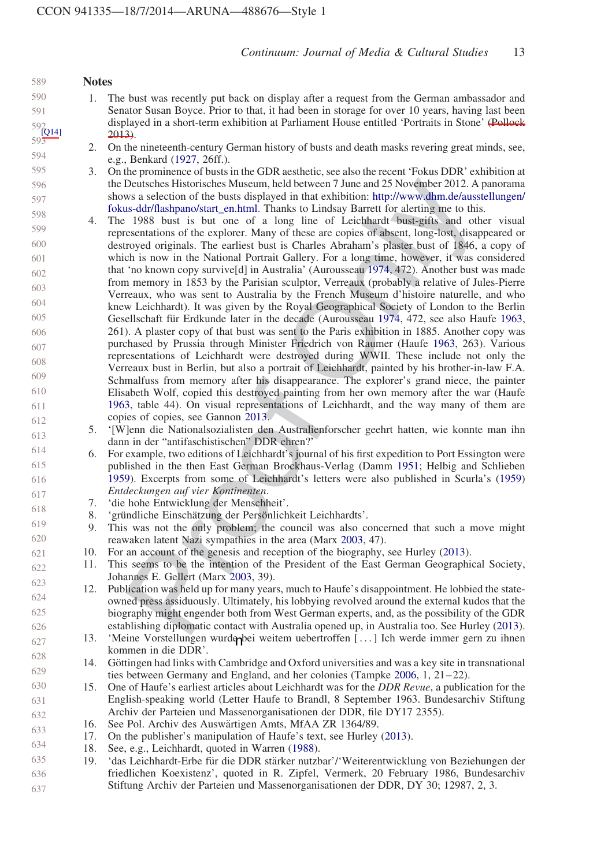#### <span id="page-12-0"></span>**Notes** 589

59

594

- 1. The bust was recently put back on display after a request from the German ambassador and Senator Susan Boyce. Prior to that, it had been in storage for over 10 years, having last been displayed in a short-term exhibition at Parliament House entitled 'Portraits in Stone' (Pollock 2013).  $[Q14]$ 590 591 593
	- 2. On the nineteenth-century German history of busts and death masks revering great minds, see, e.g., Benkard ([1927](#page-13-0), 26ff.).
- 3. On the prominence of busts in the GDR aesthetic, see also the recent 'Fokus DDR' exhibition at the Deutsches Historisches Museum, held between 7 June and 25 November 2012. A panorama shows a selection of the busts displayed in that exhibition: [http://www.dhm.de/ausstellungen/](http://www.dhm.de/ausstellungen/fokus-ddr/flashpano/start_en.html) [fokus-ddr/flashpano/start\\_en.html.](http://www.dhm.de/ausstellungen/fokus-ddr/flashpano/start_en.html) Thanks to Lindsay Barrett for alerting me to this. 595 596 597 598
- 4. The 1988 bust is but one of a long line of Leichhardt bust-gifts and other visual representations of the explorer. Many of these are copies of absent, long-lost, disappeared or destroyed originals. The earliest bust is Charles Abraham's plaster bust of 1846, a copy of which is now in the National Portrait Gallery. For a long time, however, it was considered that 'no known copy survive[d] in Australia' (Aurousseau [1974,](#page-13-0) 472). Another bust was made from memory in 1853 by the Parisian sculptor, Verreaux (probably a relative of Jules-Pierre Verreaux, who was sent to Australia by the French Museum d'histoire naturelle, and who knew Leichhardt). It was given by the Royal Geographical Society of London to the Berlin Gesellschaft für Erdkunde later in the decade (Aurousseau [1974](#page-13-0), 472, see also Haufe [1963,](#page-14-0) 261). A plaster copy of that bust was sent to the Paris exhibition in 1885. Another copy was purchased by Prussia through Minister Friedrich von Raumer (Haufe [1963](#page-14-0), 263). Various representations of Leichhardt were destroyed during WWII. These include not only the Verreaux bust in Berlin, but also a portrait of Leichhardt, painted by his brother-in-law F.A. Schmalfuss from memory after his disappearance. The explorer's grand niece, the painter Elisabeth Wolf, copied this destroyed painting from her own memory after the war (Haufe [1963](#page-14-0), table 44). On visual representations of Leichhardt, and the way many of them are copies of copies, see Gannon [2013.](#page-14-0) 599 600 601 602 603 604 605 606 607 608 609 610 611 612
- 5. '[W]enn die Nationalsozialisten den Australienforscher geehrt hatten, wie konnte man ihn dann in der "antifaschistischen" DDR ehren?' 613 614
- 6. For example, two editions of Leichhardt's journal of his first expedition to Port Essington were published in the then East German Brockhaus-Verlag (Damm [1951;](#page-14-0) Helbig and Schlieben [1959](#page-14-0)). Excerpts from some of Leichhardt's letters were also published in Scurla's ([1959\)](#page-15-0) Entdeckungen auf vier Kontinenten. 615 616 617
	- 7. 'die hohe Entwicklung der Menschheit'.
	- 8. 'gründliche Einschätzung der Persönlichkeit Leichhardts'.
	- 9. This was not the only problem; the council was also concerned that such a move might reawaken latent Nazi sympathies in the area (Marx [2003](#page-15-0), 47).
	- 10. For an account of the genesis and reception of the biography, see Hurley [\(2013](#page-14-0)).
	- 11. This seems to be the intention of the President of the East German Geographical Society, Johannes E. Gellert (Marx [2003](#page-15-0), 39).
- 12. Publication was held up for many years, much to Haufe's disappointment. He lobbied the stateowned press assiduously. Ultimately, his lobbying revolved around the external kudos that the biography might engender both from West German experts, and, as the possibility of the GDR establishing diplomatic contact with Australia opened up, in Australia too. See Hurley ([2013\)](#page-14-0). 623 624 625 626
	- 13. 'Meine Vorstellungen wurde bei weitem uebertroffen [...] Ich werde immer gern zu ihnen kommen in die DDR'.
- 14. Göttingen had links with Cambridge and Oxford universities and was a key site in transnational ties between Germany and England, and her colonies (Tampke [2006,](#page-15-0)  $1, 21-22$ ). 628 629
- 15. One of Haufe's earliest articles about Leichhardt was for the *DDR Revue*, a publication for the English-speaking world (Letter Haufe to Brandl, 8 September 1963. Bundesarchiv Stiftung Archiv der Parteien und Massenorganisationen der DDR, file DY17 2355). 630 631 632
- 16. See Pol. Archiv des Auswärtigen Amts, MfAA ZR 1364/89. 633
- 17. On the publisher's manipulation of Haufe's text, see Hurley [\(2013](#page-14-0)).
- 18. See, e.g., Leichhardt, quoted in Warren ([1988\)](#page-15-0). 634
- 19. 'das Leichhardt-Erbe für die DDR stärker nutzbar'/'Weiterentwicklung von Beziehungen der friedlichen Koexistenz', quoted in R. Zipfel, Vermerk, 20 February 1986, Bundesarchiv Stiftung Archiv der Parteien und Massenorganisationen der DDR, DY 30; 12987, 2, 3. 635 636 637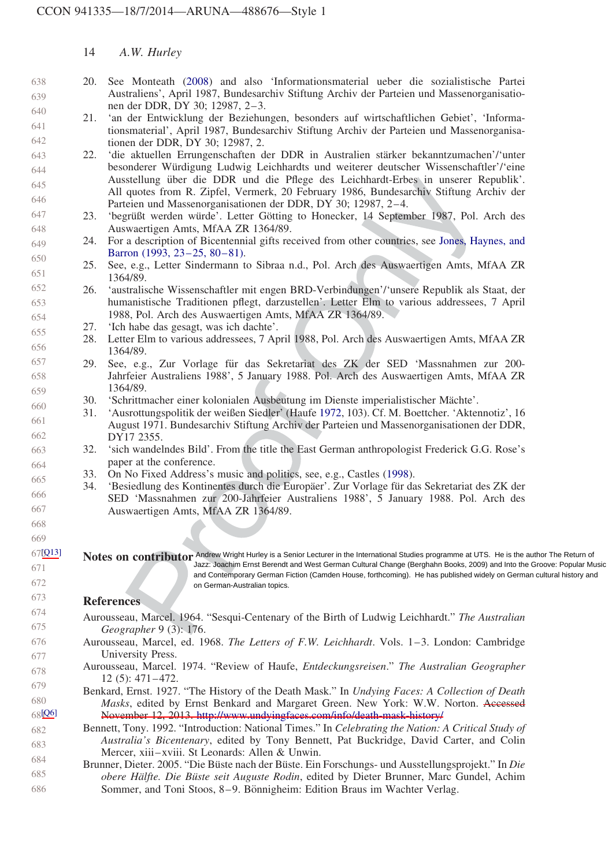- <span id="page-13-0"></span>20. See Monteath [\(2008](#page-15-0)) and also 'Informationsmaterial ueber die sozialistische Partei Australiens', April 1987, Bundesarchiv Stiftung Archiv der Parteien und Massenorganisationen der DDR, DY 30; 12987, 2– 3. 638 639 640
- 21. 'an der Entwicklung der Beziehungen, besonders auf wirtschaftlichen Gebiet', 'Informationsmaterial', April 1987, Bundesarchiv Stiftung Archiv der Parteien und Massenorganisationen der DDR, DY 30; 12987, 2. 641 642
- 22. 'die aktuellen Errungenschaften der DDR in Australien stärker bekanntzumachen'/'unter besonderer Würdigung Ludwig Leichhardts und weiterer deutscher Wissenschaftler'/'eine Ausstellung über die DDR und die Pflege des Leichhardt-Erbes in unserer Republik'. All quotes from R. Zipfel, Vermerk, 20 February 1986, Bundesarchiv Stiftung Archiv der Parteien und Massenorganisationen der DDR, DY 30; 12987, 2-4. 643 644 645 646
- 23. 'begrüßt werden würde'. Letter Götting to Honecker, 14 September 1987, Pol. Arch des Auswaertigen Amts, MfAA ZR 1364/89. 647 648
- 24. For a description of Bicentennial gifts received from other countries, see [Jones, Haynes, and](#page-14-0) Barron (1993, 23-25, 80-81). 649
- 25. See, e.g., Letter Sindermann to Sibraa n.d., Pol. Arch des Auswaertigen Amts, MfAA ZR 1364/89. 650 651
- 26. 'australische Wissenschaftler mit engen BRD-Verbindungen'/'unsere Republik als Staat, der humanistische Traditionen pflegt, darzustellen'. Letter Elm to various addressees, 7 April 1988, Pol. Arch des Auswaertigen Amts, MfAA ZR 1364/89. 652 653 654
- 27. 'Ich habe das gesagt, was ich dachte'. 655
- 28. Letter Elm to various addressees, 7 April 1988, Pol. Arch des Auswaertigen Amts, MfAA ZR 1364/89. 656
	- 29. See, e.g., Zur Vorlage für das Sekretariat des ZK der SED 'Massnahmen zur 200-Jahrfeier Australiens 1988', 5 January 1988. Pol. Arch des Auswaertigen Amts, MfAA ZR 1364/89.
	- 30. 'Schrittmacher einer kolonialen Ausbeutung im Dienste imperialistischer Mächte'.
	- 31. 'Ausrottungspolitik der weißen Siedler' (Haufe [1972,](#page-14-0) 103). Cf. M. Boettcher. 'Aktennotiz', 16 August 1971. Bundesarchiv Stiftung Archiv der Parteien und Massenorganisationen der DDR, DY17 2355.
		- 32. 'sich wandelndes Bild'. From the title the East German anthropologist Frederick G.G. Rose's paper at the conference.
		- 33. On No Fixed Address's music and politics, see, e.g., Castles ([1998](#page-14-0)).
- 34. 'Besiedlung des Kontinentes durch die Europäer'. Zur Vorlage für das Sekretariat des ZK der SED 'Massnahmen zur 200-Jahrfeier Australiens 1988', 5 January 1988. Pol. Arch des Auswaertigen Amts, MfAA ZR 1364/89. 665 666 667
- Notes on contributor Andrew Wright Hurley is a Senior Lecturer in the International Studies programme at UTS. He is the author The Return of 67**[Q13]** Jazz: Joachim Ernst Berendt and West German Cultural Change (Berghahn Books, 2009) and Into the Groove: Popular Music and Contemporary German Fiction (Camden House, forthcoming). He has published widely on German cultural history and on German-Australian topics.

#### **References**

668 669

- Aurousseau, Marcel. 1964. "Sesqui-Centenary of the Birth of Ludwig Leichhardt." The Australian Geographer 9 (3): 176.
- Aurousseau, Marcel, ed. 1968. The Letters of F.W. Leichhardt. Vols. 1-3. London: Cambridge University Press. 676 677
- Aurousseau, Marcel. 1974. "Review of Haufe, Entdeckungsreisen." The Australian Geographer 12 (5): 471– 472. 678
- Benkard, Ernst. 1927. "The History of the Death Mask." In Undying Faces: A Collection of Death Masks, edited by Ernst Benkard and Margaret Green. New York: W.W. Norton. Accessed November 12, 2013. <http://www.undyingfaces.com/info/death-mask-history/> 68**[Q6]** 679 680
- Bennett, Tony. 1992. "Introduction: National Times." In Celebrating the Nation: A Critical Study of Australia's Bicentenary, edited by Tony Bennett, Pat Buckridge, David Carter, and Colin Mercer, xiii– xviii. St Leonards: Allen & Unwin. 682 683 684
- Brunner, Dieter. 2005. "Die Büste nach der Büste. Ein Forschungs- und Ausstellungsprojekt." In Die obere Hälfte. Die Büste seit Auguste Rodin, edited by Dieter Brunner, Marc Gundel, Achim Sommer, and Toni Stoos, 8-9. Bönnigheim: Edition Braus im Wachter Verlag. 685 686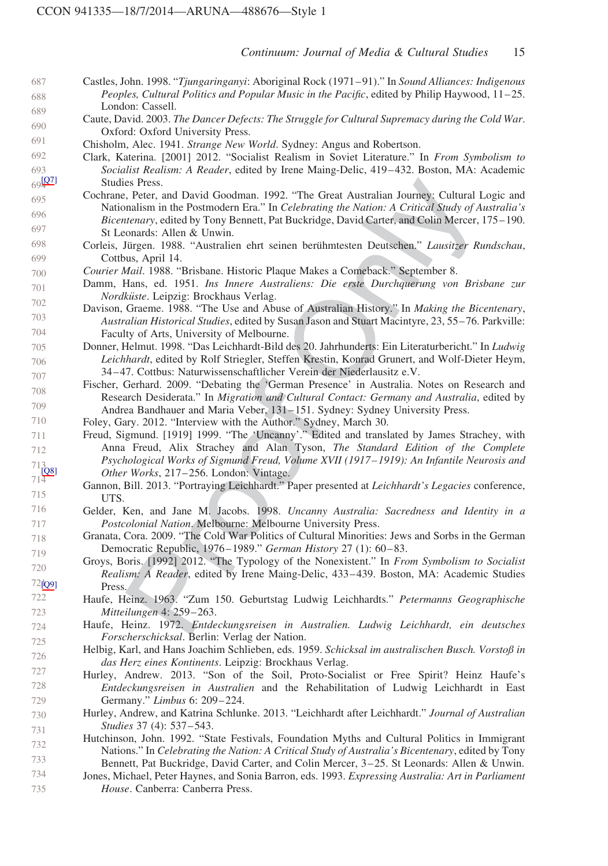- <span id="page-14-0"></span>Castles, John. 1998. "Tjungaringanyi: Aboriginal Rock (1971 – 91)." In Sound Alliances: Indigenous Peoples, Cultural Politics and Popular Music in the Pacific, edited by Philip Haywood, 11 –25. London: Cassell. 687 688 689
- Caute, David. 2003. The Dancer Defects: The Struggle for Cultural Supremacy during the Cold War. Oxford: Oxford University Press. 690
- Chisholm, Alec. 1941. Strange New World. Sydney: Angus and Robertson. 691
- Clark, Katerina. [2001] 2012. "Socialist Realism in Soviet Literature." In From Symbolism to Socialist Realism: A Reader, edited by Irene Maing-Delic, 419–432. Boston, MA: Academic Studies Press.  $69^{[Q7]}$ 692 693
- Cochrane, Peter, and David Goodman. 1992. "The Great Australian Journey: Cultural Logic and Nationalism in the Postmodern Era." In Celebrating the Nation: A Critical Study of Australia's Bicentenary, edited by Tony Bennett, Pat Buckridge, David Carter, and Colin Mercer, 175–190. St Leonards: Allen & Unwin. 695 696 697
- Corleis, Jürgen. 1988. "Australien ehrt seinen berühmtesten Deutschen." Lausitzer Rundschau, Cottbus, April 14. 698 699
- Courier Mail. 1988. "Brisbane. Historic Plaque Makes a Comeback." September 8. 700
- Damm, Hans, ed. 1951. Ins Innere Australiens: Die erste Durchquerung von Brisbane zur Nordküste. Leipzig: Brockhaus Verlag. 701 702
	- Davison, Graeme. 1988. "The Use and Abuse of Australian History." In Making the Bicentenary, Australian Historical Studies, edited by Susan Jason and Stuart Macintyre, 23, 55 –76. Parkville: Faculty of Arts, University of Melbourne.
- Donner, Helmut. 1998. "Das Leichhardt-Bild des 20. Jahrhunderts: Ein Literaturbericht." In Ludwig Leichhardt, edited by Rolf Striegler, Steffen Krestin, Konrad Grunert, and Wolf-Dieter Heym, 34 – 47. Cottbus: Naturwissenschaftlicher Verein der Niederlausitz e.V. 705 706 707
- Fischer, Gerhard. 2009. "Debating the 'German Presence' in Australia. Notes on Research and Research Desiderata." In Migration and Cultural Contact: Germany and Australia, edited by Andrea Bandhauer and Maria Veber, 131– 151. Sydney: Sydney University Press. 708 709
- Foley, Gary. 2012. "Interview with the Author." Sydney, March 30. 710

72[**Q9**]

722 723

730 731

718 719 720

- Freud, Sigmund. [1919] 1999. "The 'Uncanny'." Edited and translated by James Strachey, with Anna Freud, Alix Strachey and Alan Tyson, The Standard Edition of the Complete Psychological Works of Sigmund Freud, Volume XVII (1917 – 1919): An Infantile Neurosis and Other Works, 217–256. London: Vintage.  $^{713}$ [Q8] 711 712
- Gannon, Bill. 2013. "Portraying Leichhardt." Paper presented at Leichhardt's Legacies conference, UTS. 714 715
- Gelder, Ken, and Jane M. Jacobs. 1998. Uncanny Australia: Sacredness and Identity in a Postcolonial Nation. Melbourne: Melbourne University Press. 716 717
	- Granata, Cora. 2009. "The Cold War Politics of Cultural Minorities: Jews and Sorbs in the German Democratic Republic, 1976–1989." German History 27 (1): 60-83.
		- Groys, Boris. [1992] 2012. "The Typology of the Nonexistent." In From Symbolism to Socialist Realism: A Reader, edited by Irene Maing-Delic, 433– 439. Boston, MA: Academic Studies Press.
	- Haufe, Heinz. 1963. "Zum 150. Geburtstag Ludwig Leichhardts." Petermanns Geographische Mitteilungen 4: 259–263.
- Haufe, Heinz. 1972. Entdeckungsreisen in Australien. Ludwig Leichhardt, ein deutsches Forscherschicksal. Berlin: Verlag der Nation. 724 725
- Helbig, Karl, and Hans Joachim Schlieben, eds. 1959. Schicksal im australischen Busch. Vorstoß in das Herz eines Kontinents. Leipzig: Brockhaus Verlag. 726
- Hurley, Andrew. 2013. "Son of the Soil, Proto-Socialist or Free Spirit? Heinz Haufe's Entdeckungsreisen in Australien and the Rehabilitation of Ludwig Leichhardt in East Germany." Limbus 6: 209-224. 727 728 729
	- Hurley, Andrew, and Katrina Schlunke. 2013. "Leichhardt after Leichhardt." Journal of Australian Studies 37 (4): 537-543.
- Hutchinson, John. 1992. "State Festivals, Foundation Myths and Cultural Politics in Immigrant Nations." In Celebrating the Nation: A Critical Study of Australia's Bicentenary, edited by Tony Bennett, Pat Buckridge, David Carter, and Colin Mercer, 3-25. St Leonards: Allen & Unwin. 732 733
- Jones, Michael, Peter Haynes, and Sonia Barron, eds. 1993. Expressing Australia: Art in Parliament House. Canberra: Canberra Press. 734 735